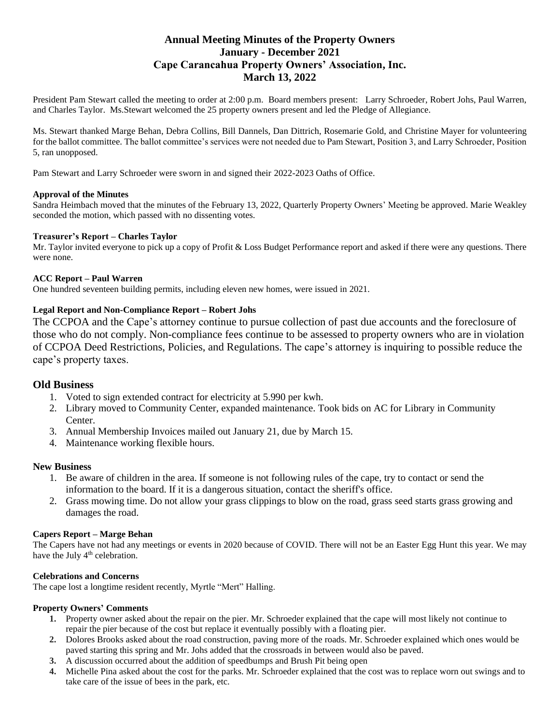# **Annual Meeting Minutes of the Property Owners January - December 2021 Cape Carancahua Property Owners' Association, Inc. March 13, 2022**

President Pam Stewart called the meeting to order at 2:00 p.m. Board members present: Larry Schroeder, Robert Johs, Paul Warren, and Charles Taylor. Ms.Stewart welcomed the 25 property owners present and led the Pledge of Allegiance.

Ms. Stewart thanked Marge Behan, Debra Collins, Bill Dannels, Dan Dittrich, Rosemarie Gold, and Christine Mayer for volunteering for the ballot committee. The ballot committee's services were not needed due to Pam Stewart, Position 3, and Larry Schroeder, Position 5, ran unopposed.

Pam Stewart and Larry Schroeder were sworn in and signed their 2022-2023 Oaths of Office.

#### **Approval of the Minutes**

Sandra Heimbach moved that the minutes of the February 13, 2022, Quarterly Property Owners' Meeting be approved. Marie Weakley seconded the motion, which passed with no dissenting votes.

#### **Treasurer's Report – Charles Taylor**

Mr. Taylor invited everyone to pick up a copy of Profit & Loss Budget Performance report and asked if there were any questions. There were none.

#### **ACC Report – Paul Warren**

One hundred seventeen building permits, including eleven new homes, were issued in 2021.

#### **Legal Report and Non-Compliance Report – Robert Johs**

The CCPOA and the Cape's attorney continue to pursue collection of past due accounts and the foreclosure of those who do not comply. Non-compliance fees continue to be assessed to property owners who are in violation of CCPOA Deed Restrictions, Policies, and Regulations. The cape's attorney is inquiring to possible reduce the cape's property taxes.

### **Old Business**

- 1. Voted to sign extended contract for electricity at 5.990 per kwh.
- 2. Library moved to Community Center, expanded maintenance. Took bids on AC for Library in Community Center.
- 3. Annual Membership Invoices mailed out January 21, due by March 15.
- 4. Maintenance working flexible hours.

#### **New Business**

- 1. Be aware of children in the area. If someone is not following rules of the cape, try to contact or send the information to the board. If it is a dangerous situation, contact the sheriff's office.
- 2. Grass mowing time. Do not allow your grass clippings to blow on the road, grass seed starts grass growing and damages the road.

#### **Capers Report – Marge Behan**

The Capers have not had any meetings or events in 2020 because of COVID. There will not be an Easter Egg Hunt this year. We may have the July 4<sup>th</sup> celebration.

#### **Celebrations and Concerns**

The cape lost a longtime resident recently, Myrtle "Mert" Halling.

## **Property Owners' Comments**

- **1.** Property owner asked about the repair on the pier. Mr. Schroeder explained that the cape will most likely not continue to repair the pier because of the cost but replace it eventually possibly with a floating pier.
- **2.** Dolores Brooks asked about the road construction, paving more of the roads. Mr. Schroeder explained which ones would be paved starting this spring and Mr. Johs added that the crossroads in between would also be paved.
- **3.** A discussion occurred about the addition of speedbumps and Brush Pit being open
- **4.** Michelle Pina asked about the cost for the parks. Mr. Schroeder explained that the cost was to replace worn out swings and to take care of the issue of bees in the park, etc.